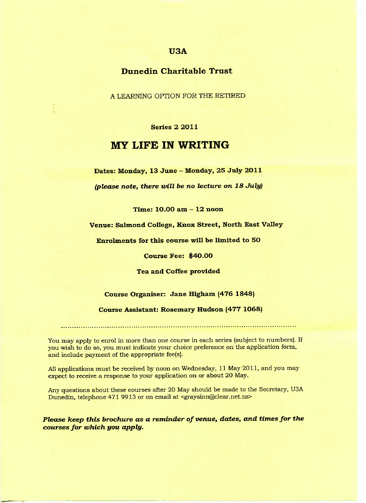## **U3A**

## **Dunedin Charitable Trust**

A LEARNING OPTION FOR THE RETIRED

#### Series 2 2011

# **MY LIFE IN WRITING**

**Dates: Monday, 13 June - Monday, 25 July 2011**

*(please note, there mill be no lecture on 18 July)*

**Time: 10.00 am - 12 noon**

**Venue: Salmond College, Knox Street, North East Valley**

**Enrolments for this course will be limited to 5O**

**Course Fee: \$40.00**

**Tea and Coffee provided**

#### **Course Organiser: Jane Higham (476 1848)**

#### **Course Assistant: Rosemary Hudson (477 1O68)**

You may apply to enrol in more than one course in each series (subject to numbers). If you wish to do so, you must indicate your choice preference on the application form, and include payment of the appropriate fee(s).

All applications must be received by noon on Wednesday, 11 May 2011, and you may expect to receive a response to your application on or about 20 May.

Any questions about these courses after 20 May should be made to the Secretary, USA Dunedin, telephone 471 9913 or on email at <graysinn@clear.net.nz>

#### *Please keep this brochure as a reminder of venue, dates, and times for the courses for which you apply.*